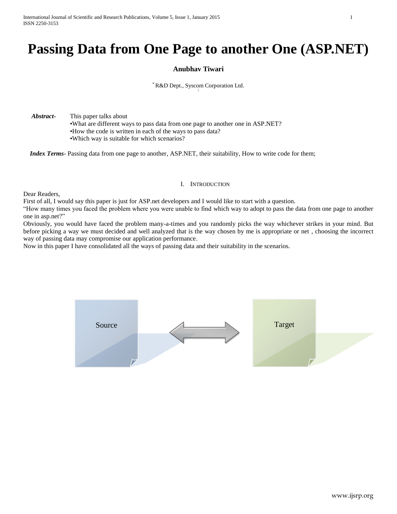# **Passing Data from One Page to another One (ASP.NET)**

# **Anubhav Tiwari**

## \* R&D Dept., Syscom Corporation Ltd.

 *Abstract***-** This paper talks about •What are different ways to pass data from one page to another one in ASP.NET? •How the code is written in each of the ways to pass data? •Which way is suitable for which scenarios?

 *Index Terms*- Passing data from one page to another, ASP.NET, their suitability, How to write code for them;

## I. INTRODUCTION

Dear Readers,

First of all, I would say this paper is just for ASP.net developers and I would like to start with a question.

"How many times you faced the problem where you were unable to find which way to adopt to pass the data from one page to another one in asp.net?"

Obviously, you would have faced the problem many-a-times and you randomly picks the way whichever strikes in your mind. But before picking a way we must decided and well analyzed that is the way chosen by me is appropriate or net , choosing the incorrect way of passing data may compromise our application performance.

Now in this paper I have consolidated all the ways of passing data and their suitability in the scenarios.

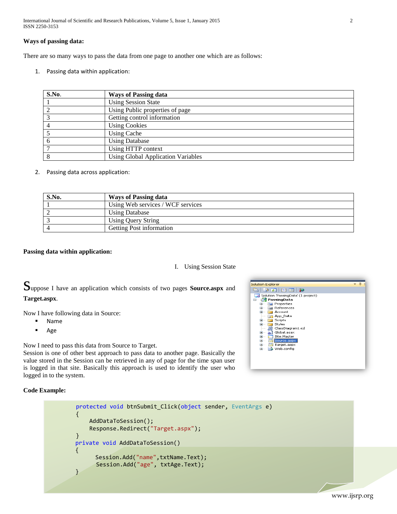International Journal of Scientific and Research Publications, Volume 5, Issue 1, January 2015 2 ISSN 2250-3153

## **Ways of passing data:**

There are so many ways to pass the data from one page to another one which are as follows:

1. Passing data within application:

| S.No. | <b>Ways of Passing data</b>               |
|-------|-------------------------------------------|
|       | <b>Using Session State</b>                |
|       | Using Public properties of page           |
|       | Getting control information               |
|       | <b>Using Cookies</b>                      |
|       | <b>Using Cache</b>                        |
|       | <b>Using Database</b>                     |
|       | Using HTTP context                        |
|       | <b>Using Global Application Variables</b> |

2. Passing data across application:

| S.No. | <b>Ways of Passing data</b>       |
|-------|-----------------------------------|
|       | Using Web services / WCF services |
|       | <b>Using Database</b>             |
|       | <b>Using Query String</b>         |
|       | Getting Post information          |

## **Passing data within application:**

#### I. Using Session State

Suppose I have an application which consists of two pages **Source.aspx** and **Target.aspx**.

Now I have following data in Source:

- Name
- Age

Now I need to pass this data from Source to Target.

Session is one of other best approach to pass data to another page. Basically the value stored in the Session can be retrieved in any of page for the time span user is logged in that site. Basically this approach is used to identify the user who logged in to the system.

**Code Example:**

| protected void btnSubmit_Click(object sender, EventArgs e) |
|------------------------------------------------------------|
|                                                            |
| AddDataToSession();                                        |
| Response.Redirect("Target.aspx");                          |
|                                                            |
| private void AddDataToSession()                            |
|                                                            |
| Session.Add("name",txtName.Text);                          |
| Session.Add("age", txtAge.Text);                           |
|                                                            |
|                                                            |
|                                                            |



www.ijsrp.org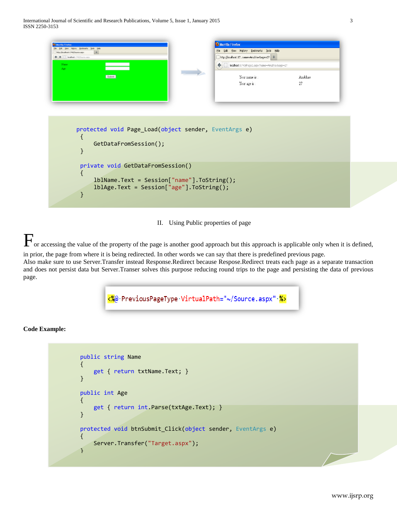

II. Using Public properties of page

or accessing the value of the property of the page is another good approach but this approach is applicable only when it is defined, in prior, the page from where it is being redirected. In other words we can say that there is predefined previous page.

Also make sure to use Server.Transfer instead Response.Redirect because Respose.Redirect treats each page as a separate transaction and does not persist data but Server.Transer solves this purpose reducing round trips to the page and persisting the data of previous page.

<%@PreviousPageType VirtualPath="~/Source.aspx" &>

```
 public string Name
        {
            get { return txtName.Text; }
        }
       public int Age
        {
            get { return int.Parse(txtAge.Text); }
        }
        protected void btnSubmit_Click(object sender, EventArgs e)
{
            Server.Transfer("Target.aspx");
        }
```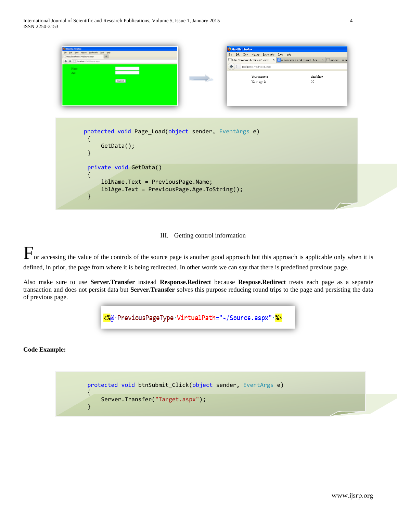| $+$<br>My (Joohen 1740)Source.ago:<br>http://localhost:1740/Page1.aspx X S previouspage is null asp net - Goo X G asp.net - Previo<br>← → □ looked: (74)Source.ago<br>$\leftarrow$ $\Box$ localhost:1740/Page1.aspx<br>Name<br>Age.<br>Your name is:<br>Anubhav<br>Submit<br>Your age is:<br>27<br>protected void Page_Load(object sender, EventArgs e)<br>$GetData()$ ; | <b>Marilla Firefox</b><br>ESt year Highey Bookmarks Solo Help | Mozilla Firefox<br>Eile Edit View History Bookmarks Tools Help |  |
|--------------------------------------------------------------------------------------------------------------------------------------------------------------------------------------------------------------------------------------------------------------------------------------------------------------------------------------------------------------------------|---------------------------------------------------------------|----------------------------------------------------------------|--|
|                                                                                                                                                                                                                                                                                                                                                                          |                                                               |                                                                |  |
|                                                                                                                                                                                                                                                                                                                                                                          |                                                               |                                                                |  |
|                                                                                                                                                                                                                                                                                                                                                                          |                                                               |                                                                |  |
|                                                                                                                                                                                                                                                                                                                                                                          |                                                               |                                                                |  |
|                                                                                                                                                                                                                                                                                                                                                                          | private void GetData()                                        |                                                                |  |

III. Getting control information

For accessing the value of the controls of the source page is another good approach but this approach is applicable only when it is defined, in prior, the page from where it is being redirected. In other words we can say that there is predefined previous page.

Also make sure to use **Server.Transfer** instead **Response.Redirect** because **Respose.Redirect** treats each page as a separate transaction and does not persist data but **Server.Transfer** solves this purpose reducing round trips to the page and persisting the data of previous page.



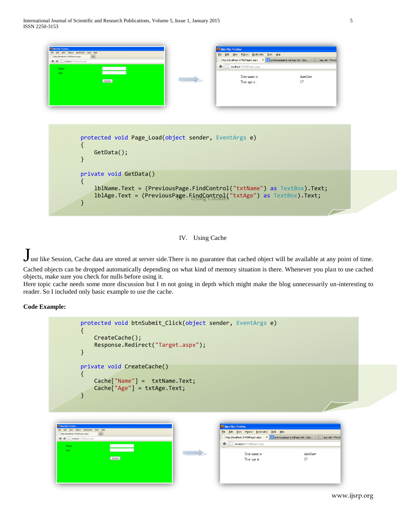| <b>Marilla Firefax</b><br>ES: Yew Highey Booknarks Solo Help<br>Mip (Roothoft 1740/Source.aspx)<br><b>B</b> Distalland: 1740/Source, and-<br>Name                      | Mozilla Firefox<br>Eile Edit View History Bookmarks Tools Help<br>http://localhost:1740/Page1.aspx X Spreviouspage is null asp net - Goo X Gasp.net - Previo<br>← C localhost:1740/Page1.aspx |               |
|------------------------------------------------------------------------------------------------------------------------------------------------------------------------|-----------------------------------------------------------------------------------------------------------------------------------------------------------------------------------------------|---------------|
| Age.<br>Submit                                                                                                                                                         | Your name is:<br>Your age is:                                                                                                                                                                 | Anubhav<br>27 |
| protected void Page_Load(object sender, EventArgs e)<br>$GetData()$ ;                                                                                                  |                                                                                                                                                                                               |               |
| private void GetData()<br>lblName.Text = (PreviousPage.FindControl("txtName") as TextBox).Text;<br>lblAge.Text = (PreviousPage.FindControl("txtAge") as TextBox).Text; |                                                                                                                                                                                               |               |

IV. Using Cache

Just like Session, Cache data are stored at server side. There is no guarantee that cached object will be available at any point of time. Cached objects can be dropped automatically depending on what kind of memory situation is there. Whenever you plan to use cached

objects, make sure you check for nulls before using it. Here topic cache needs some more discussion but I m not going in depth which might make the blog unnecessarily un-interesting to

reader. So I included only basic example to use the cache.

| protected void btnSubmit_Click(object sender, EventArgs e)<br>CreateCache();<br>Response.Redirect("Target.aspx");                               |                                                                                                                                                                                                                                                   |
|-------------------------------------------------------------------------------------------------------------------------------------------------|---------------------------------------------------------------------------------------------------------------------------------------------------------------------------------------------------------------------------------------------------|
| private void CreateCache()<br>$Cache['Name'] = txtName.Fext;$<br>Cache["Age"] = txtAge.Text;                                                    |                                                                                                                                                                                                                                                   |
| <b>Marilla Firefax</b><br>ESt they regary Bookmarks Bols took<br>My (Jooket 1740) are ago<br>Distallant (PE)Source.asp<br>Name<br>Age<br>Submit | Mozilla Firefox<br>Eile Edit View History Bookmarks Tools Help<br>http://localhost:1740/Page1.aspx X S previouspage is null asp net - Goo X G asp.net - Previo<br>← C localhost:1740/Page1.aspx<br>Your name is:<br>Anubhav<br>27<br>Your age is: |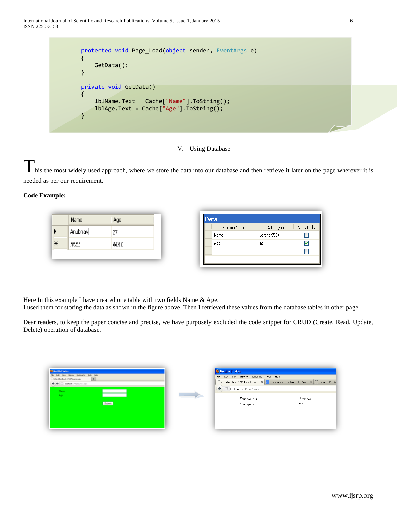



I his the most widely used approach, where we store the data into our database and then retrieve it later on the page wherever it is needed as per our requirement.

## **Code Example:**

|        | Name        | Age  |  | Data        |             |
|--------|-------------|------|--|-------------|-------------|
|        | Anubhav     |      |  | Column Name | Data Type   |
|        |             | 27   |  | Name        | varchar(50) |
| $\ast$ | <b>NULL</b> | NULL |  | Age         | int         |
|        |             |      |  |             |             |
|        |             |      |  |             |             |

Here In this example I have created one table with two fields Name & Age.

I used them for storing the data as shown in the figure above. Then I retrieved these values from the database tables in other page.

Dear readers, to keep the paper concise and precise, we have purposely excluded the code snippet for CRUD (Create, Read, Update, Delete) operation of database.

| 59 ESt two Highly Booknarks Solo 560<br>My (Roohott 1740/Source.ago:<br>← → □ losabest: (74)Source.ago | Eile Edit View History Bookmarks Tools Help              |                                                                                             |
|--------------------------------------------------------------------------------------------------------|----------------------------------------------------------|---------------------------------------------------------------------------------------------|
|                                                                                                        |                                                          |                                                                                             |
|                                                                                                        |                                                          | http://localhost:1740/Page1.aspx X S previouspage is null asp net - Goo X Gasp.net - Previo |
| Name                                                                                                   | $\left(\blacklozenge\right)$   localhost:1740/Page1.aspx |                                                                                             |
| Age                                                                                                    | Your name is:                                            | Anubhav                                                                                     |
| Submit                                                                                                 | Your age is:                                             | 27                                                                                          |
|                                                                                                        |                                                          |                                                                                             |
|                                                                                                        |                                                          |                                                                                             |
|                                                                                                        |                                                          |                                                                                             |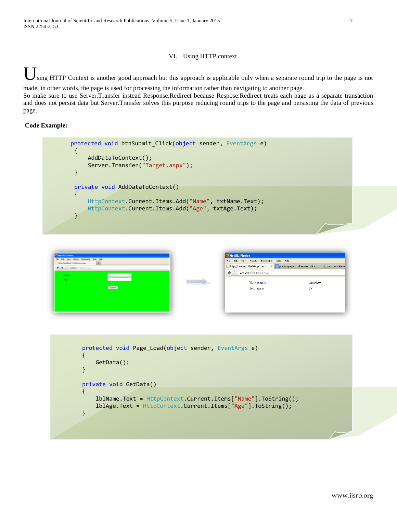## VI. Using HTTP context

sing HTTP Context is another good approach but this approach is applicable only when a separate round trip to the page is not made, in other words, the page is used for processing the information rather than navigating to another page.

So make sure to use Server.Transfer instead Response.Redirect because Respose.Redirect treats each page as a separate transaction and does not persist data but Server.Transfer solves this purpose reducing round trips to the page and persisting the data of previous page.

```
protected void btnSubmit_Click(object sender, EventArgs e)
 {
     AddDataToContext(); 
     Server.Transfer("Target.aspx");
 }
 private void AddDataToContext()
 {
     HttpContext.Current.Items.Add("Name", txtName.Text);
     HttpContext.Current.Items.Add("Age", txtAge.Text);
 }
```


| http://localhost:1740/Page1.aspx X   X previouspage is null asp net - Goo X   asp.net - Previo<br>localhost:1740/Page1.aspx<br>Your name is:<br>Anubhav<br>27<br>Your age is: |  | File | Bookmarks<br>Edit View History | Tools | Help |  |  |  |  |
|-------------------------------------------------------------------------------------------------------------------------------------------------------------------------------|--|------|--------------------------------|-------|------|--|--|--|--|
|                                                                                                                                                                               |  |      |                                |       |      |  |  |  |  |
|                                                                                                                                                                               |  |      |                                |       |      |  |  |  |  |
|                                                                                                                                                                               |  |      |                                |       |      |  |  |  |  |
|                                                                                                                                                                               |  |      |                                |       |      |  |  |  |  |
|                                                                                                                                                                               |  |      |                                |       |      |  |  |  |  |
|                                                                                                                                                                               |  |      |                                |       |      |  |  |  |  |
|                                                                                                                                                                               |  |      |                                |       |      |  |  |  |  |

```
 protected void Page_Load(object sender, EventArgs e)
{
    GetData();
}
private void GetData()
{
    lblName.Text = HttpContext.Current.Items["Name"].ToString();
    lblAge.Text = HttpContext.Current.Items["Age"].ToString();
}
```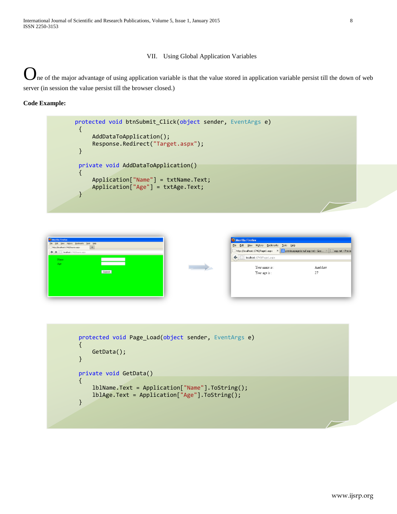## VII. Using Global Application Variables

ne of the major advantage of using application variable is that the value stored in application variable persist till the down of web server (in session the value persist till the browser closed.)

```
protected void btnSubmit_Click(object sender, EventArgs e)
       {
            AddDataToApplication();
            Response.Redirect("Target.aspx");
       }
       private void AddDataToApplication()
{
            Application["Name"] = txtName.Text;
            Application["Age"] = txtAge.Text;
       }
```


```
 protected void Page_Load(object sender, EventArgs e)
{
    GetData();
}
private void GetData()
{
    lblName.Text = Application["Name"].ToString();
    lblAge.Text = Application["Age"].ToString();
}
```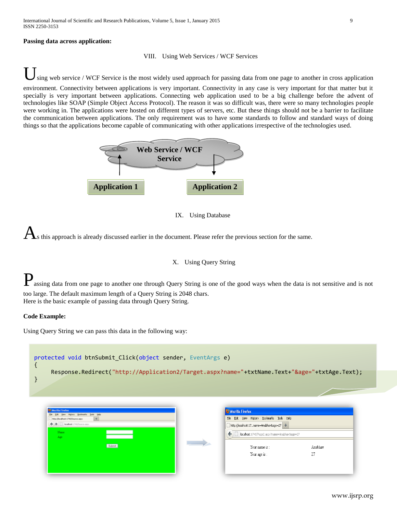## **Passing data across application:**

#### VIII. Using Web Services / WCF Services

sing web service / WCF Service is the most widely used approach for passing data from one page to another in cross application environment. Connectivity between applications is very important. Connectivity in any case is very important for that matter but it specially is very important between applications. Connecting web application used to be a big challenge before the advent of technologies like SOAP (Simple Object Access Protocol). The reason it was so difficult was, there were so many technologies people were working in. The applications were hosted on different types of servers, etc. But these things should not be a barrier to facilitate the communication between applications. The only requirement was to have some standards to follow and standard ways of doing things so that the applications become capable of communicating with other applications irrespective of the technologies used.



## IX. Using Database

s this approach is already discussed earlier in the document. Please refer the previous section for the same.

## X. Using Query String

**P**assing data from one page to another one through Query String is one of the good ways when the data is not sensitive and is not too large. The default maximum length of a Query String is 2048 chars. Here is the basic example of passing data through Query String.

## **Code Example:**

Using Query String we can pass this data in the following way:



| <b>CO Mortilla Firefox</b>                                                        |                   | Mozilla Firefox                                   |         |
|-----------------------------------------------------------------------------------|-------------------|---------------------------------------------------|---------|
| (Se Edit tiew Highey Booknarks Solo tasks<br>My-(foothot: 1740)Source.aspx<br>$+$ |                   | File Edit View History Bookmarks Tools Help       |         |
| + + C looked: (74)Source.app                                                      |                   | http://localhost:17name=Anubhav&age=27 +          |         |
| Name<br>Age.                                                                      |                   | ← D localhost:1740/Page2.aspx?name=Anubhav&age=27 |         |
| Submit                                                                            | $\longrightarrow$ | Your name is:                                     | Anubhav |
|                                                                                   |                   | Your age is:                                      | 27      |
|                                                                                   |                   |                                                   |         |
|                                                                                   |                   |                                                   |         |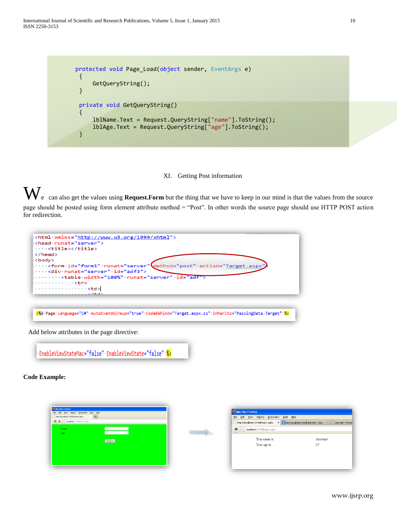International Journal of Scientific and Research Publications, Volume 5, Issue 1, January 2015 10 ISSN 2250-3153

```
protected void Page_Load(object sender, EventArgs e)
 {
     GetQueryString();
 }
 private void GetQueryString()
 {
     lblName.Text = Request.QueryString["name"].ToString();
     lblAge.Text = Request.QueryString["age"].ToString();
 }
```
XI. Getting Post information

W<sub>e</sub> can also get the values using **Request.Form** but the thing that we have to keep in our mind is that the values from the source page should be posted using form element attribute method = "Post". In other words the source page should use HTTP POST action for redirection.

| <head-runat="server"><br/><title></title><br/><br/><body><br/><div.runat="server".id="adf3"></div.runat="server".id="adf3"></body></head-runat="server"> | <html xmlns="http://www.w3.org/1999/xhtml" ·=""><br/><form.id="form1".runat="server"\method="post".action="target.aspx"< th=""><th></th><th></th></form.id="form1".runat="server"\method="post".action="target.aspx"<></html> |                                                                                |               |
|----------------------------------------------------------------------------------------------------------------------------------------------------------|-------------------------------------------------------------------------------------------------------------------------------------------------------------------------------------------------------------------------------|--------------------------------------------------------------------------------|---------------|
| . <b><tr></tr></b>                                                                                                                                       | <table·width="100%"·runat="server"·id="adf"></table·width="100%"·runat="server"·id="adf">                                                                                                                                     |                                                                                |               |
|                                                                                                                                                          |                                                                                                                                                                                                                               |                                                                                |               |
| . < td><br>. <i>. 1</i> + d <i>'</i>                                                                                                                     |                                                                                                                                                                                                                               |                                                                                |               |
|                                                                                                                                                          | <%@+Page+Language="C#"+AutoEventWireup="true"+CodeBehind="Target.aspx.cs"+Inherits="PassingData.Target"+%>                                                                                                                    |                                                                                |               |
| Add below attributes in the page directive:                                                                                                              |                                                                                                                                                                                                                               |                                                                                |               |
|                                                                                                                                                          | EnableViewStateMac="false" EnableViewState="false" %>                                                                                                                                                                         |                                                                                |               |
| <b>Code Example:</b>                                                                                                                                     |                                                                                                                                                                                                                               |                                                                                |               |
|                                                                                                                                                          |                                                                                                                                                                                                                               |                                                                                |               |
| Marilla Firefox                                                                                                                                          |                                                                                                                                                                                                                               |                                                                                |               |
| ESt yew Highey Booknarks Bols Help<br>Mtp://localhoot.1740/Source.aspx                                                                                   |                                                                                                                                                                                                                               | Mozilla Firefox<br>Eile Edit View History Bookmarks Tools Help                 |               |
| + + C localised: 1740/Source_aspx                                                                                                                        |                                                                                                                                                                                                                               | http://localhost:1740/Page1.aspx $\times$ 8 previouspage is null asp net - Goo |               |
| Name                                                                                                                                                     |                                                                                                                                                                                                                               | ← C localhost:1740/Page1.aspx                                                  |               |
| Age :                                                                                                                                                    |                                                                                                                                                                                                                               |                                                                                |               |
|                                                                                                                                                          | Submit                                                                                                                                                                                                                        | Your name is:<br>Your age is:                                                  | Anubhav<br>27 |
|                                                                                                                                                          |                                                                                                                                                                                                                               |                                                                                |               |
|                                                                                                                                                          |                                                                                                                                                                                                                               |                                                                                |               |
|                                                                                                                                                          |                                                                                                                                                                                                                               |                                                                                |               |